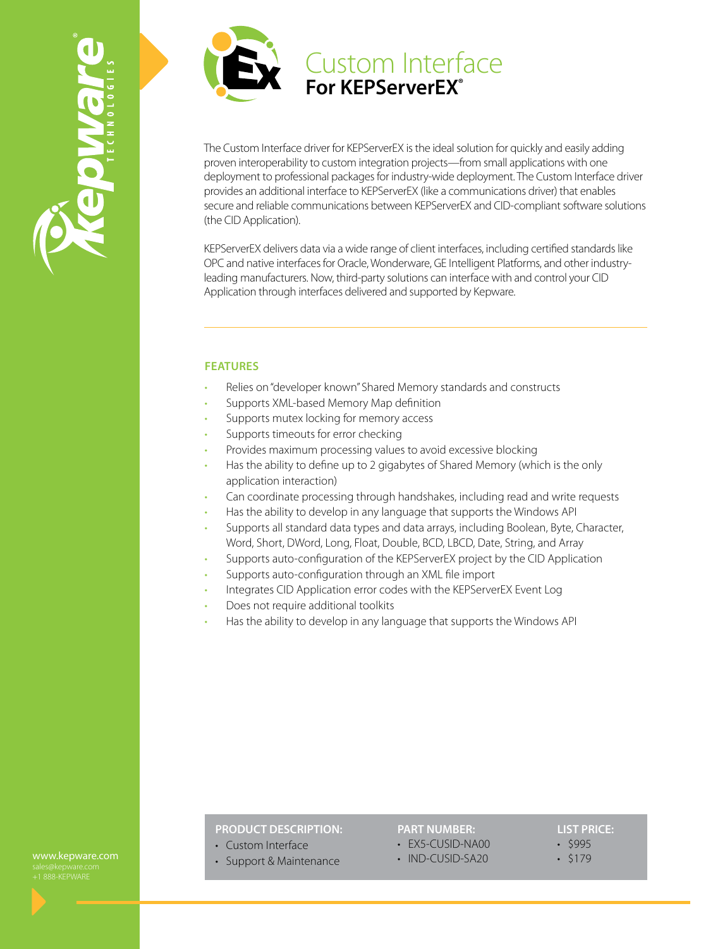



The Custom Interface driver for KEPServerEX is the ideal solution for quickly and easily adding proven interoperability to custom integration projects—from small applications with one deployment to professional packages for industry-wide deployment. The Custom Interface driver provides an additional interface to KEPServerEX (like a communications driver) that enables secure and reliable communications between KEPServerEX and CID-compliant software solutions (the CID Application).

KEPServerEX delivers data via a wide range of client interfaces, including certified standards like OPC and native interfaces for Oracle, Wonderware, GE Intelligent Platforms, and other industryleading manufacturers. Now, third-party solutions can interface with and control your CID Application through interfaces delivered and supported by Kepware.

## **FEATURES**

- Relies on "developer known" Shared Memory standards and constructs
- Supports XML-based Memory Map definition
- Supports mutex locking for memory access
- Supports timeouts for error checking
- Provides maximum processing values to avoid excessive blocking
- Has the ability to define up to 2 gigabytes of Shared Memory (which is the only application interaction)
- Can coordinate processing through handshakes, including read and write requests
- Has the ability to develop in any language that supports the Windows API
- Supports all standard data types and data arrays, including Boolean, Byte, Character, Word, Short, DWord, Long, Float, Double, BCD, LBCD, Date, String, and Array
- Supports auto-configuration of the KEPServerEX project by the CID Application
- Supports auto-configuration through an XML file import
- Integrates CID Application error codes with the KEPServerEX Event Log
- Does not require additional toolkits
- Has the ability to develop in any language that supports the Windows API

# **PRODUCT DESCRIPTION:**

## **PART NUMBER:**

- EX5-CUSID-NA00
- IND-CUSID-SA20

**LIST PRICE:** • \$995

• \$179

www.kepware.com

• Custom Interface • Support & Maintenance